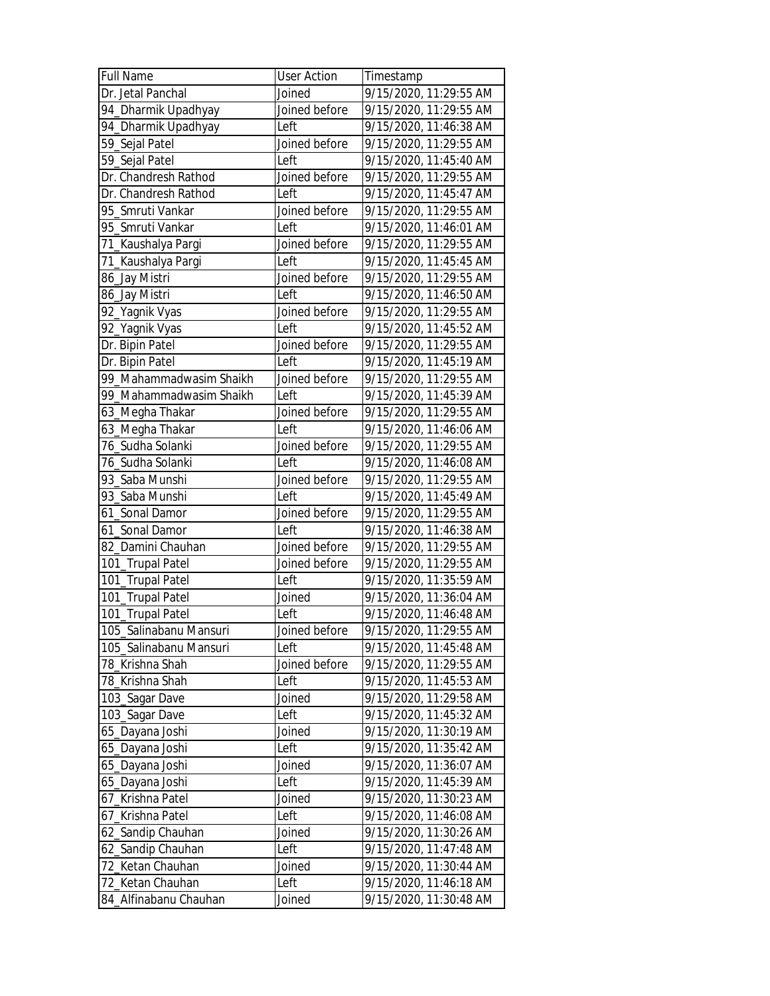| <b>Full Name</b>        | <b>User Action</b> | Timestamp              |
|-------------------------|--------------------|------------------------|
| Dr. Jetal Panchal       | Joined             | 9/15/2020, 11:29:55 AM |
| 94_Dharmik Upadhyay     | Joined before      | 9/15/2020, 11:29:55 AM |
| 94_Dharmik Upadhyay     | Left               | 9/15/2020, 11:46:38 AM |
| 59_Sejal Patel          | Joined before      | 9/15/2020, 11:29:55 AM |
| 59_Sejal Patel          | Left               | 9/15/2020, 11:45:40 AM |
| Dr. Chandresh Rathod    | Joined before      | 9/15/2020, 11:29:55 AM |
| Dr. Chandresh Rathod    | Left               | 9/15/2020, 11:45:47 AM |
| 95 Smruti Vankar        | Joined before      | 9/15/2020, 11:29:55 AM |
| 95_Smruti Vankar        | Left               | 9/15/2020, 11:46:01 AM |
| 71_Kaushalya Pargi      | Joined before      | 9/15/2020, 11:29:55 AM |
| 71_Kaushalya Pargi      | Left               | 9/15/2020, 11:45:45 AM |
| 86_Jay Mistri           | Joined before      | 9/15/2020, 11:29:55 AM |
| 86_Jay Mistri           | Left               | 9/15/2020, 11:46:50 AM |
| 92_Yagnik Vyas          | Joined before      | 9/15/2020, 11:29:55 AM |
| 92_Yagnik Vyas          | Left               | 9/15/2020, 11:45:52 AM |
| Dr. Bipin Patel         | Joined before      | 9/15/2020, 11:29:55 AM |
| Dr. Bipin Patel         | Left               | 9/15/2020, 11:45:19 AM |
| 99_Mahammadwasim Shaikh | Joined before      | 9/15/2020, 11:29:55 AM |
| 99_Mahammadwasim Shaikh | Left               | 9/15/2020, 11:45:39 AM |
| 63_Megha Thakar         | Joined before      | 9/15/2020, 11:29:55 AM |
| 63_Megha Thakar         | Left               | 9/15/2020, 11:46:06 AM |
| 76_Sudha Solanki        | Joined before      | 9/15/2020, 11:29:55 AM |
| 76_Sudha Solanki        | Left               | 9/15/2020, 11:46:08 AM |
| 93_Saba Munshi          | Joined before      | 9/15/2020, 11:29:55 AM |
| 93_Saba Munshi          | Left               | 9/15/2020, 11:45:49 AM |
| 61_Sonal Damor          | Joined before      | 9/15/2020, 11:29:55 AM |
| 61_Sonal Damor          | Left               | 9/15/2020, 11:46:38 AM |
| 82_Damini Chauhan       | Joined before      | 9/15/2020, 11:29:55 AM |
| 101_Trupal Patel        | Joined before      | 9/15/2020, 11:29:55 AM |
| 101_Trupal Patel        | Left               | 9/15/2020, 11:35:59 AM |
| 101_Trupal Patel        | Joined             | 9/15/2020, 11:36:04 AM |
| 101_Trupal Patel        | Left               | 9/15/2020, 11:46:48 AM |
| 105_Salinabanu Mansuri  | Joined before      | 9/15/2020, 11:29:55 AM |
| 105_Salinabanu Mansuri  | Left               | 9/15/2020, 11:45:48 AM |
| 78_Krishna Shah         | Joined before      | 9/15/2020, 11:29:55 AM |
| 78_Krishna Shah         | Left               | 9/15/2020, 11:45:53 AM |
| 103_Sagar Dave          | Joined             | 9/15/2020, 11:29:58 AM |
| 103_Sagar Dave          | Left               | 9/15/2020, 11:45:32 AM |
| 65_Dayana Joshi         | Joined             | 9/15/2020, 11:30:19 AM |
| 65_Dayana Joshi         | Left               | 9/15/2020, 11:35:42 AM |
| 65_Dayana Joshi         | Joined             | 9/15/2020, 11:36:07 AM |
| 65_Dayana Joshi         | Left               | 9/15/2020, 11:45:39 AM |
| 67_Krishna Patel        | Joined             | 9/15/2020, 11:30:23 AM |
| 67_Krishna Patel        | Left               | 9/15/2020, 11:46:08 AM |
| 62_Sandip Chauhan       | Joined             | 9/15/2020, 11:30:26 AM |
| 62_Sandip Chauhan       | Left               | 9/15/2020, 11:47:48 AM |
| 72_Ketan Chauhan        | Joined             | 9/15/2020, 11:30:44 AM |
| 72_Ketan Chauhan        | Left               | 9/15/2020, 11:46:18 AM |
| 84_Alfinabanu Chauhan   | Joined             | 9/15/2020, 11:30:48 AM |